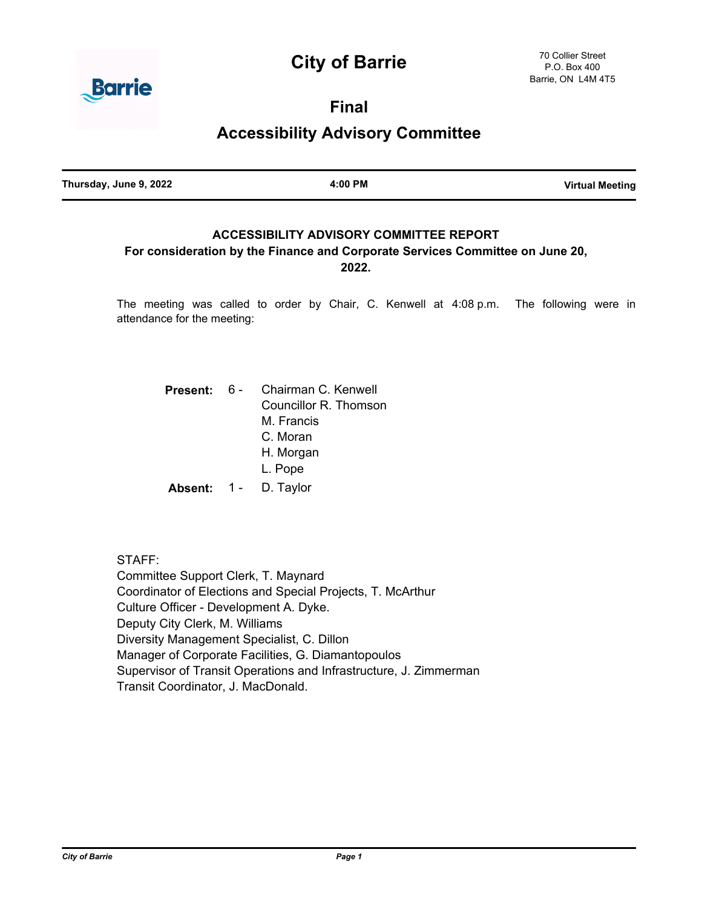# **City of Barrie**



**Final**

**Accessibility Advisory Committee**

**Thursday, June 9, 2022 4:00 PM Virtual Meeting**

# **ACCESSIBILITY ADVISORY COMMITTEE REPORT**

## **For consideration by the Finance and Corporate Services Committee on June 20, 2022.**

The meeting was called to order by Chair, C. Kenwell at 4:08 p.m. The following were in attendance for the meeting:

|             | <b>Present: 6 - Chairman C. Kenwell</b> |
|-------------|-----------------------------------------|
|             | Councillor R. Thomson                   |
|             | M. Francis                              |
|             | C. Moran                                |
|             | H. Morgan                               |
|             | L. Pope                                 |
| Absent: 1 - | D. Taylor                               |

STAFF: Committee Support Clerk, T. Maynard Coordinator of Elections and Special Projects, T. McArthur Culture Officer - Development A. Dyke. Deputy City Clerk, M. Williams Diversity Management Specialist, C. Dillon Manager of Corporate Facilities, G. Diamantopoulos Supervisor of Transit Operations and Infrastructure, J. Zimmerman Transit Coordinator, J. MacDonald.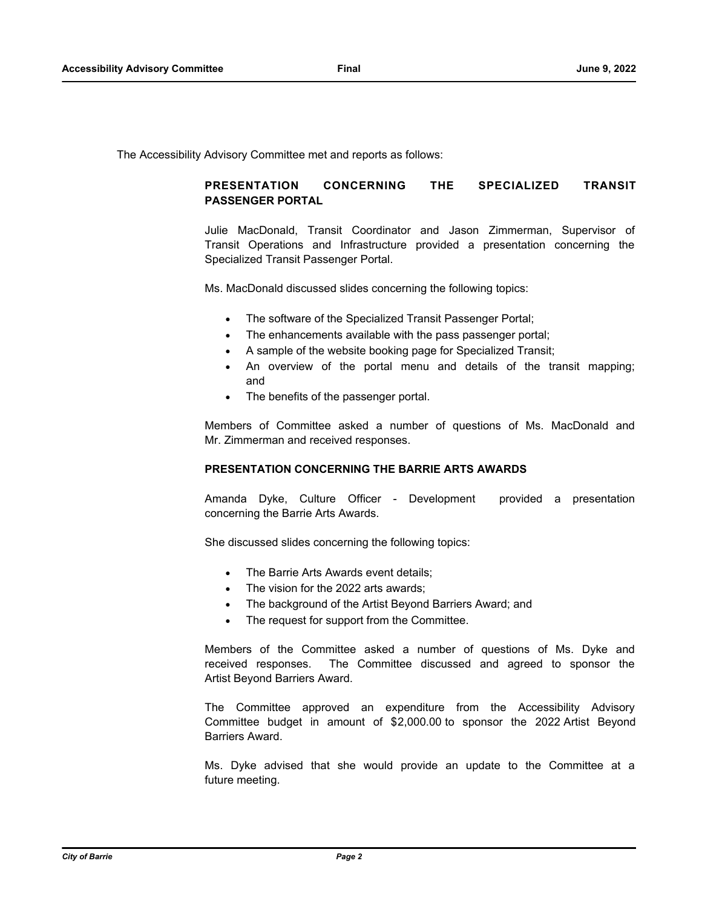The Accessibility Advisory Committee met and reports as follows:

## **PRESENTATION CONCERNING THE SPECIALIZED TRANSIT PASSENGER PORTAL**

Julie MacDonald, Transit Coordinator and Jason Zimmerman, Supervisor of Transit Operations and Infrastructure provided a presentation concerning the Specialized Transit Passenger Portal.

Ms. MacDonald discussed slides concerning the following topics:

- The software of the Specialized Transit Passenger Portal;
- The enhancements available with the pass passenger portal;
- · A sample of the website booking page for Specialized Transit;
- An overview of the portal menu and details of the transit mapping; and
- The benefits of the passenger portal.

Members of Committee asked a number of questions of Ms. MacDonald and Mr. Zimmerman and received responses.

#### **PRESENTATION CONCERNING THE BARRIE ARTS AWARDS**

Amanda Dyke, Culture Officer - Development provided a presentation concerning the Barrie Arts Awards.

She discussed slides concerning the following topics:

- The Barrie Arts Awards event details;
- The vision for the 2022 arts awards:
- The background of the Artist Beyond Barriers Award; and
- The request for support from the Committee.

Members of the Committee asked a number of questions of Ms. Dyke and received responses. The Committee discussed and agreed to sponsor the Artist Beyond Barriers Award.

The Committee approved an expenditure from the Accessibility Advisory Committee budget in amount of \$2,000.00 to sponsor the 2022 Artist Beyond Barriers Award.

Ms. Dyke advised that she would provide an update to the Committee at a future meeting.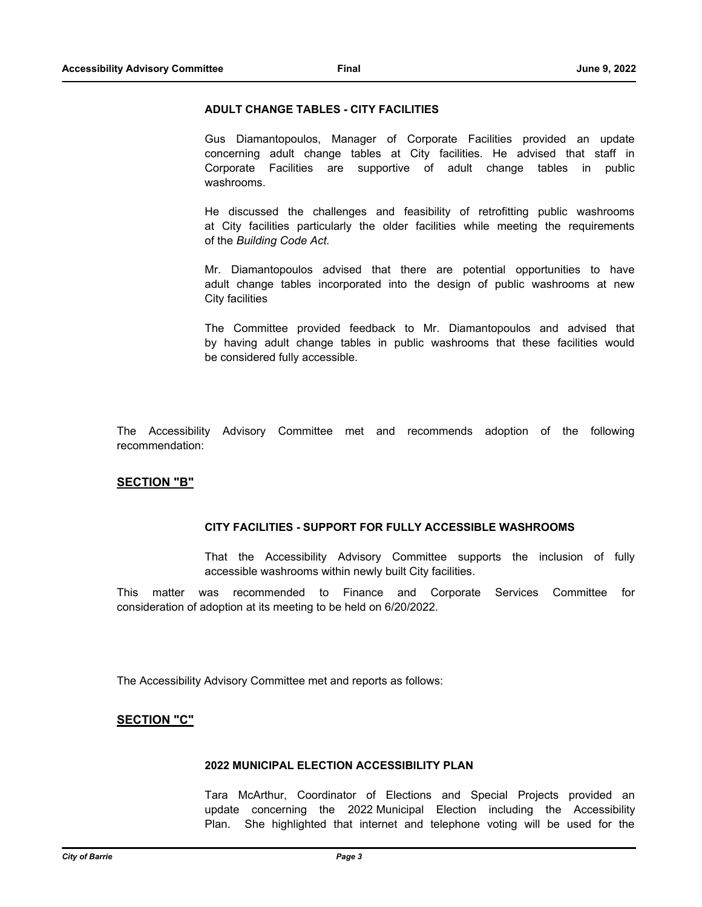#### **ADULT CHANGE TABLES - CITY FACILITIES**

Gus Diamantopoulos, Manager of Corporate Facilities provided an update concerning adult change tables at City facilities. He advised that staff in Corporate Facilities are supportive of adult change tables in public washrooms.

He discussed the challenges and feasibility of retrofitting public washrooms at City facilities particularly the older facilities while meeting the requirements of the *Building Code Act.* 

Mr. Diamantopoulos advised that there are potential opportunities to have adult change tables incorporated into the design of public washrooms at new City facilities

The Committee provided feedback to Mr. Diamantopoulos and advised that by having adult change tables in public washrooms that these facilities would be considered fully accessible.

The Accessibility Advisory Committee met and recommends adoption of the following recommendation:

#### **SECTION "B"**

#### **CITY FACILITIES - SUPPORT FOR FULLY ACCESSIBLE WASHROOMS**

That the Accessibility Advisory Committee supports the inclusion of fully accessible washrooms within newly built City facilities.

This matter was recommended to Finance and Corporate Services Committee for consideration of adoption at its meeting to be held on 6/20/2022.

The Accessibility Advisory Committee met and reports as follows:

#### **SECTION "C"**

#### **2022 MUNICIPAL ELECTION ACCESSIBILITY PLAN**

Tara McArthur, Coordinator of Elections and Special Projects provided an update concerning the 2022 Municipal Election including the Accessibility Plan. She highlighted that internet and telephone voting will be used for the